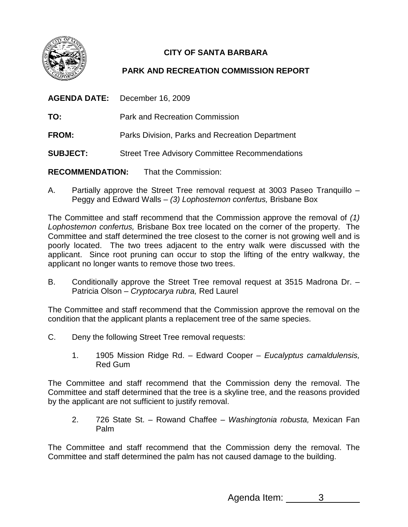

## **CITY OF SANTA BARBARA**

## **PARK AND RECREATION COMMISSION REPORT**

| <b>AGENDA DATE:</b> December 16, 2009 |                                                       |
|---------------------------------------|-------------------------------------------------------|
| TO:                                   | <b>Park and Recreation Commission</b>                 |
| <b>FROM:</b>                          | Parks Division, Parks and Recreation Department       |
| <b>SUBJECT:</b>                       | <b>Street Tree Advisory Committee Recommendations</b> |
|                                       | <b>RECOMMENDATION:</b> That the Commission:           |

A. Partially approve the Street Tree removal request at 3003 Paseo Tranquillo – Peggy and Edward Walls – (3) Lophostemon confertus, Brisbane Box

The Committee and staff recommend that the Commission approve the removal of (1) Lophostemon confertus, Brisbane Box tree located on the corner of the property. The Committee and staff determined the tree closest to the corner is not growing well and is poorly located. The two trees adjacent to the entry walk were discussed with the applicant. Since root pruning can occur to stop the lifting of the entry walkway, the applicant no longer wants to remove those two trees.

B. Conditionally approve the Street Tree removal request at 3515 Madrona Dr. – Patricia Olson - Cryptocarya rubra, Red Laurel

The Committee and staff recommend that the Commission approve the removal on the condition that the applicant plants a replacement tree of the same species.

- C. Deny the following Street Tree removal requests:
	- 1. 1905 Mission Ridge Rd. Edward Cooper Eucalyptus camaldulensis, Red Gum

The Committee and staff recommend that the Commission deny the removal. The Committee and staff determined that the tree is a skyline tree, and the reasons provided by the applicant are not sufficient to justify removal.

2. 726 State St. – Rowand Chaffee – Washingtonia robusta, Mexican Fan Palm

The Committee and staff recommend that the Commission deny the removal. The Committee and staff determined the palm has not caused damage to the building.

Agenda Item: 3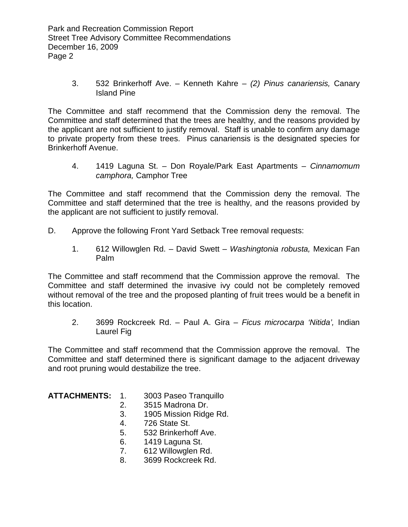3. 532 Brinkerhoff Ave. – Kenneth Kahre – (2) Pinus canariensis, Canary Island Pine

The Committee and staff recommend that the Commission deny the removal. The Committee and staff determined that the trees are healthy, and the reasons provided by the applicant are not sufficient to justify removal. Staff is unable to confirm any damage to private property from these trees. Pinus canariensis is the designated species for Brinkerhoff Avenue.

4. 1419 Laguna St. – Don Royale/Park East Apartments – Cinnamomum camphora, Camphor Tree

The Committee and staff recommend that the Commission deny the removal. The Committee and staff determined that the tree is healthy, and the reasons provided by the applicant are not sufficient to justify removal.

- D. Approve the following Front Yard Setback Tree removal requests:
	- 1. 612 Willowglen Rd. David Swett Washingtonia robusta, Mexican Fan Palm

The Committee and staff recommend that the Commission approve the removal. The Committee and staff determined the invasive ivy could not be completely removed without removal of the tree and the proposed planting of fruit trees would be a benefit in this location.

2. 3699 Rockcreek Rd. – Paul A. Gira – Ficus microcarpa 'Nitida', Indian Laurel Fig

The Committee and staff recommend that the Commission approve the removal. The Committee and staff determined there is significant damage to the adjacent driveway and root pruning would destabilize the tree.

## **ATTACHMENTS:** 1. 3003 Paseo Tranquillo

- 2. 3515 Madrona Dr.
- 3. 1905 Mission Ridge Rd.
- 4. 726 State St.
- 5. 532 Brinkerhoff Ave.
- 6. 1419 Laguna St.
- 7. 612 Willowglen Rd.
- 8. 3699 Rockcreek Rd.